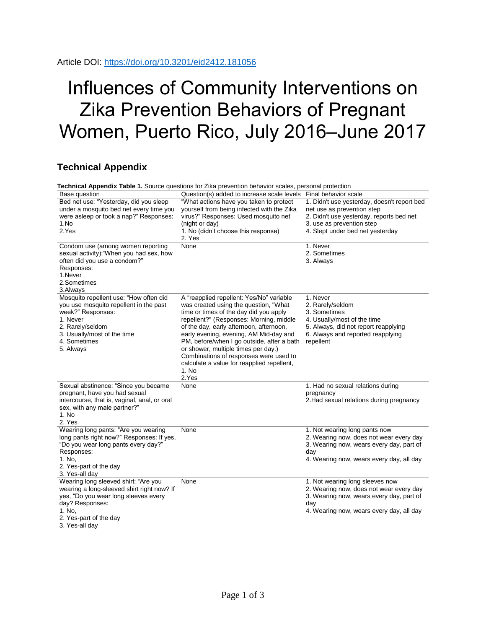## Influences of Community Interventions on Zika Prevention Behaviors of Pregnant Women, Puerto Rico, July 2016–June 2017

## **Technical Appendix**

|                                                                                                                                                                                                     | Technical Appendix Table 1. Source questions for Zika prevention behavior scales, personal protection                                                                                                                                                                                                                                                                                                                                                      |                                                                                                                                                                                        |
|-----------------------------------------------------------------------------------------------------------------------------------------------------------------------------------------------------|------------------------------------------------------------------------------------------------------------------------------------------------------------------------------------------------------------------------------------------------------------------------------------------------------------------------------------------------------------------------------------------------------------------------------------------------------------|----------------------------------------------------------------------------------------------------------------------------------------------------------------------------------------|
| Base question                                                                                                                                                                                       | Question(s) added to increase scale levels                                                                                                                                                                                                                                                                                                                                                                                                                 | Final behavior scale                                                                                                                                                                   |
| Bed net use: "Yesterday, did you sleep<br>under a mosquito bed net every time you<br>were asleep or took a nap?" Responses:<br>1.No<br>2.Yes                                                        | "What actions have you taken to protect<br>yourself from being infected with the Zika<br>virus?" Responses: Used mosquito net<br>(night or day)<br>1. No (didn't choose this response)<br>2. Yes                                                                                                                                                                                                                                                           | 1. Didn't use yesterday, doesn't report bed<br>net use as prevention step<br>2. Didn't use yesterday, reports bed net<br>3. use as prevention step<br>4. Slept under bed net yesterday |
| Condom use (among women reporting<br>sexual activity): "When you had sex, how<br>often did you use a condom?"<br>Responses:<br>1.Never<br>2.Sometimes<br>3.Always                                   | None                                                                                                                                                                                                                                                                                                                                                                                                                                                       | 1. Never<br>2. Sometimes<br>3. Always                                                                                                                                                  |
| Mosquito repellent use: "How often did<br>you use mosquito repellent in the past<br>week?" Responses:<br>1. Never<br>2. Rarely/seldom<br>3. Usually/most of the time<br>4. Sometimes<br>5. Always   | A "reapplied repellent: Yes/No" variable<br>was created using the question, "What<br>time or times of the day did you apply<br>repellent?" (Responses: Morning, middle<br>of the day, early afternoon, afternoon,<br>early evening, evening, AM Mid-day and<br>PM, before/when I go outside, after a bath<br>or shower, multiple times per day.)<br>Combinations of responses were used to<br>calculate a value for reapplied repellent,<br>1. No<br>2.Yes | 1. Never<br>2. Rarely/seldom<br>3. Sometimes<br>4. Usually/most of the time<br>5. Always, did not report reapplying<br>6. Always and reported reapplying<br>repellent                  |
| Sexual abstinence: "Since you became<br>pregnant, have you had sexual<br>intercourse, that is, vaginal, anal, or oral<br>sex, with any male partner?"<br>1. No<br>2. Yes                            | None                                                                                                                                                                                                                                                                                                                                                                                                                                                       | 1. Had no sexual relations during<br>pregnancy<br>2. Had sexual relations during pregnancy                                                                                             |
| Wearing long pants: "Are you wearing<br>long pants right now?" Responses: If yes,<br>"Do you wear long pants every day?"<br>Responses:<br>1. No.<br>2. Yes-part of the day<br>3. Yes-all day        | None                                                                                                                                                                                                                                                                                                                                                                                                                                                       | 1. Not wearing long pants now<br>2. Wearing now, does not wear every day<br>3. Wearing now, wears every day, part of<br>day<br>4. Wearing now, wears every day, all day                |
| Wearing long sleeved shirt: "Are you<br>wearing a long-sleeved shirt right now? If<br>yes, "Do you wear long sleeves every<br>day? Responses:<br>1. No.<br>2. Yes-part of the day<br>3. Yes-all day | None                                                                                                                                                                                                                                                                                                                                                                                                                                                       | 1. Not wearing long sleeves now<br>2. Wearing now, does not wear every day<br>3. Wearing now, wears every day, part of<br>day<br>4. Wearing now, wears every day, all day              |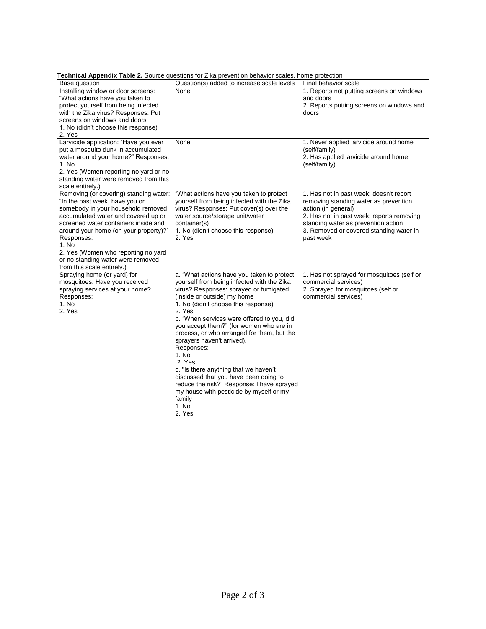| Technical Appendix Table 2. Source questions for Zika prevention behavior scales, home protection                                                                                                                                                                                                                                                                       |                                                                                                                                                                                                                                                                                                                                                                                                                                                                                                                                                                                                                                  |                                                                                                                                                                                                                                                     |  |  |  |
|-------------------------------------------------------------------------------------------------------------------------------------------------------------------------------------------------------------------------------------------------------------------------------------------------------------------------------------------------------------------------|----------------------------------------------------------------------------------------------------------------------------------------------------------------------------------------------------------------------------------------------------------------------------------------------------------------------------------------------------------------------------------------------------------------------------------------------------------------------------------------------------------------------------------------------------------------------------------------------------------------------------------|-----------------------------------------------------------------------------------------------------------------------------------------------------------------------------------------------------------------------------------------------------|--|--|--|
| Base question                                                                                                                                                                                                                                                                                                                                                           | Question(s) added to increase scale levels                                                                                                                                                                                                                                                                                                                                                                                                                                                                                                                                                                                       | Final behavior scale                                                                                                                                                                                                                                |  |  |  |
| Installing window or door screens:<br>"What actions have you taken to<br>protect yourself from being infected<br>with the Zika virus? Responses: Put<br>screens on windows and doors<br>1. No (didn't choose this response)<br>2. Yes                                                                                                                                   | None                                                                                                                                                                                                                                                                                                                                                                                                                                                                                                                                                                                                                             | 1. Reports not putting screens on windows<br>and doors<br>2. Reports putting screens on windows and<br>doors                                                                                                                                        |  |  |  |
| Larvicide application: "Have you ever<br>put a mosquito dunk in accumulated<br>water around your home?" Responses:<br>1. No<br>2. Yes (Women reporting no yard or no<br>standing water were removed from this<br>scale entirely.)                                                                                                                                       | None                                                                                                                                                                                                                                                                                                                                                                                                                                                                                                                                                                                                                             | 1. Never applied larvicide around home<br>(self/family)<br>2. Has applied larvicide around home<br>(self/family)                                                                                                                                    |  |  |  |
| Removing (or covering) standing water:<br>"In the past week, have you or<br>somebody in your household removed<br>accumulated water and covered up or<br>screened water containers inside and<br>around your home (on your property)?"<br>Responses:<br>1. No<br>2. Yes (Women who reporting no yard<br>or no standing water were removed<br>from this scale entirely.) | "What actions have you taken to protect<br>yourself from being infected with the Zika<br>virus? Responses: Put cover(s) over the<br>water source/storage unit/water<br>container(s)<br>1. No (didn't choose this response)<br>2. Yes                                                                                                                                                                                                                                                                                                                                                                                             | 1. Has not in past week; doesn't report<br>removing standing water as prevention<br>action (in general)<br>2. Has not in past week; reports removing<br>standing water as prevention action<br>3. Removed or covered standing water in<br>past week |  |  |  |
| Spraying home (or yard) for<br>mosquitoes: Have you received<br>spraying services at your home?<br>Responses:<br>1. No<br>2. Yes                                                                                                                                                                                                                                        | a. "What actions have you taken to protect<br>yourself from being infected with the Zika<br>virus? Responses: sprayed or fumigated<br>(inside or outside) my home<br>1. No (didn't choose this response)<br>2. Yes<br>b. "When services were offered to you, did<br>you accept them?" (for women who are in<br>process, or who arranged for them, but the<br>sprayers haven't arrived).<br>Responses:<br>1. No<br>2. Yes<br>c. "Is there anything that we haven't<br>discussed that you have been doing to<br>reduce the risk?" Response: I have sprayed<br>my house with pesticide by myself or my<br>family<br>1. No<br>2. Yes | 1. Has not sprayed for mosquitoes (self or<br>commercial services)<br>2. Sprayed for mosquitoes (self or<br>commercial services)                                                                                                                    |  |  |  |